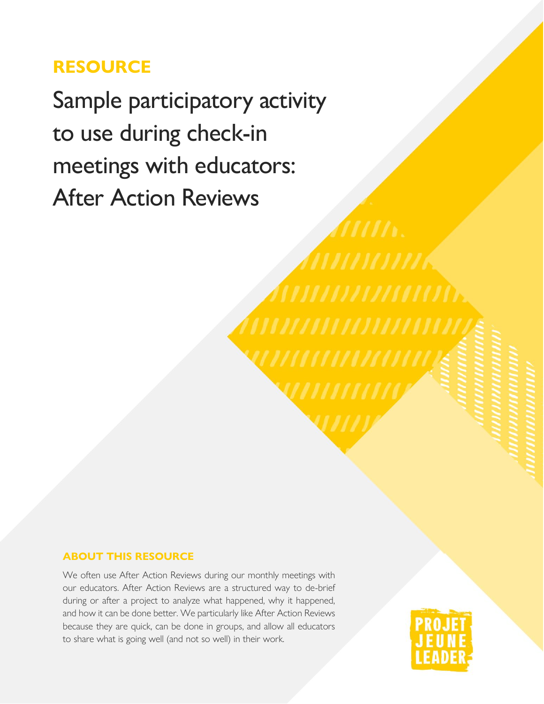## **RESOURCE**

Sample participatory activity to use during check-in meetings with educators: After Action Reviews

#### **ABOUT THIS RESOURCE**

We often use After Action Reviews during our monthly meetings with our educators. After Action Reviews are a structured way to de-brief during or after a project to analyze what happened, why it happened, and how it can be done better. We particularly like After Action Reviews because they are quick, can be done in groups, and allow all educators to share what is going well (and not so well) in their work.

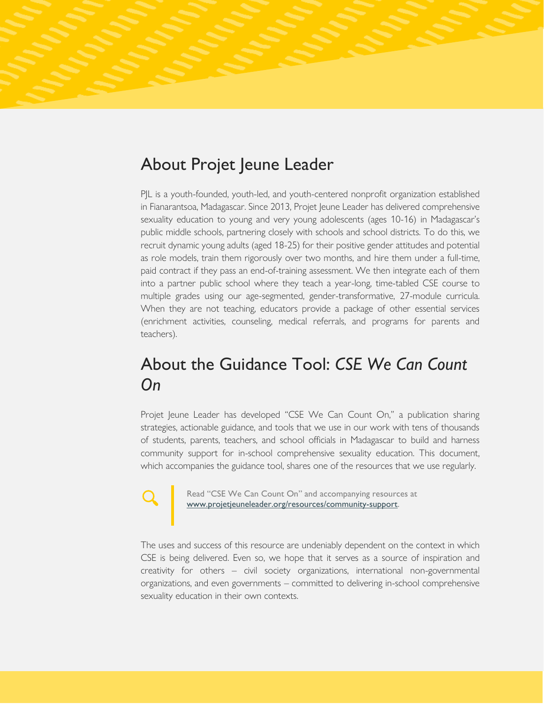## About Projet Jeune Leader

PJL is a youth-founded, youth-led, and youth-centered nonprofit organization established in Fianarantsoa, Madagascar. Since 2013, Projet Jeune Leader has delivered comprehensive sexuality education to young and very young adolescents (ages 10-16) in Madagascar's public middle schools, partnering closely with schools and school districts. To do this, we recruit dynamic young adults (aged 18-25) for their positive gender attitudes and potential as role models, train them rigorously over two months, and hire them under a full-time, paid contract if they pass an end-of-training assessment. We then integrate each of them into a partner public school where they teach a year-long, time-tabled CSE course to multiple grades using our age-segmented, gender-transformative, 27-module curricula. When they are not teaching, educators provide a package of other essential services (enrichment activities, counseling, medical referrals, and programs for parents and teachers).

### About the Guidance Tool: *CSE We Can Count On*

Projet Jeune Leader has developed "CSE We Can Count On," a publication sharing strategies, actionable guidance, and tools that we use in our work with tens of thousands of students, parents, teachers, and school officials in Madagascar to build and harness community support for in-school comprehensive sexuality education. This document, which accompanies the guidance tool, shares one of the resources that we use regularly.

Read "CSE We Can Count On" and accompanying resources at [www.projetjeuneleader.org/resources/](http://www.projetjeuneleader.org/resources)community-support.

The uses and success of this resource are undeniably dependent on the context in which CSE is being delivered. Even so, we hope that it serves as a source of inspiration and creativity for others – civil society organizations, international non-governmental organizations, and even governments – committed to delivering in-school comprehensive sexuality education in their own contexts.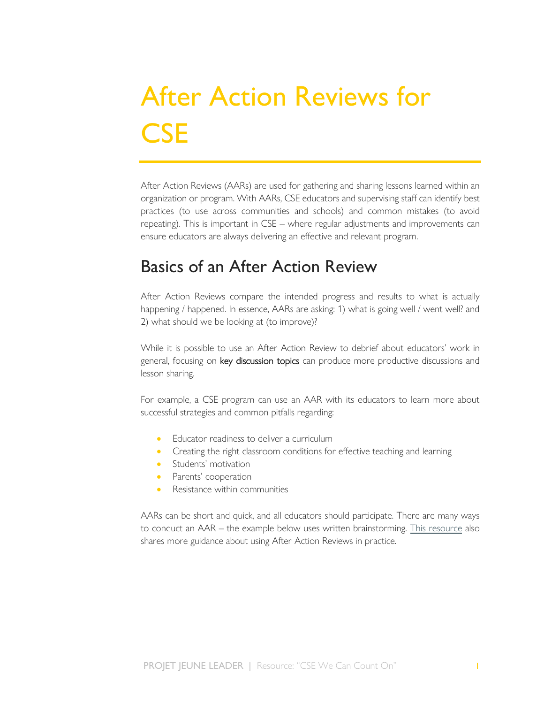# After Action Reviews for **CSE**

After Action Reviews (AARs) are used for gathering and sharing lessons learned within an organization or program. With AARs, CSE educators and supervising staff can identify best practices (to use across communities and schools) and common mistakes (to avoid repeating). This is important in CSE – where regular adjustments and improvements can ensure educators are always delivering an effective and relevant program.

#### Basics of an After Action Review

After Action Reviews compare the intended progress and results to what is actually happening / happened. In essence, AARs are asking: 1) what is going well / went well? and 2) what should we be looking at (to improve)?

While it is possible to use an After Action Review to debrief about educators' work in general, focusing on key discussion topics can produce more productive discussions and lesson sharing.

For example, a CSE program can use an AAR with its educators to learn more about successful strategies and common pitfalls regarding:

- Educator readiness to deliver a curriculum
- Creating the right classroom conditions for effective teaching and learning
- Students' motivation
- Parents' cooperation
- Resistance within communities

AARs can be short and quick, and all educators should participate. There are many ways to conduct an AAR – the example below uses written brainstorming. [This resource](https://www.cebma.org/wp-content/uploads/Guide-to-the-after_action_review.pdf) also shares more guidance about using After Action Reviews in practice.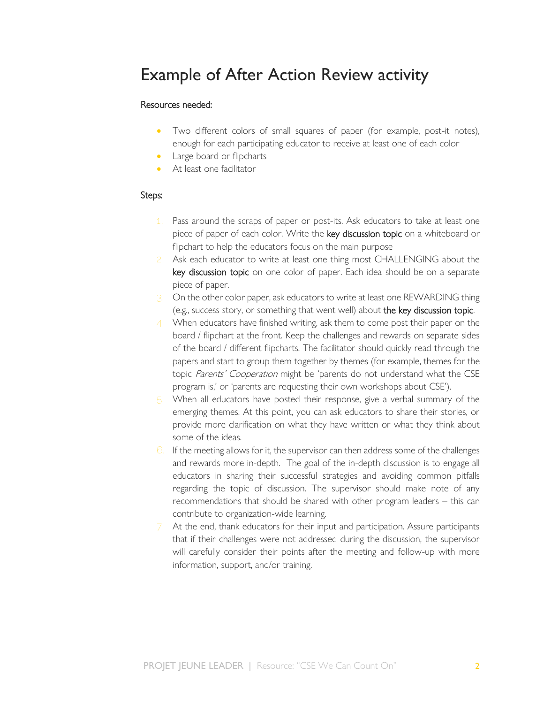#### Example of After Action Review activity

#### Resources needed:

- Two different colors of small squares of paper (for example, post-it notes), enough for each participating educator to receive at least one of each color
- Large board or flipcharts
- At least one facilitator

#### Steps:

- Pass around the scraps of paper or post-its. Ask educators to take at least one piece of paper of each color. Write the key discussion topic on a whiteboard or flipchart to help the educators focus on the main purpose
- **2.** Ask each educator to write at least one thing most CHALLENGING about the key discussion topic on one color of paper. Each idea should be on a separate piece of paper.
- **3.** On the other color paper, ask educators to write at least one REWARDING thing (e.g., success story, or something that went well) about the key discussion topic.
- **4.** When educators have finished writing, ask them to come post their paper on the board / flipchart at the front. Keep the challenges and rewards on separate sides of the board / different flipcharts. The facilitator should quickly read through the papers and start to group them together by themes (for example, themes for the topic Parents' Cooperation might be 'parents do not understand what the CSE program is,' or 'parents are requesting their own workshops about CSE').
- **5.** When all educators have posted their response, give a verbal summary of the emerging themes. At this point, you can ask educators to share their stories, or provide more clarification on what they have written or what they think about some of the ideas.
- **6.** If the meeting allows for it, the supervisor can then address some of the challenges and rewards more in-depth. The goal of the in-depth discussion is to engage all educators in sharing their successful strategies and avoiding common pitfalls regarding the topic of discussion. The supervisor should make note of any recommendations that should be shared with other program leaders – this can contribute to organization-wide learning.
- **7.** At the end, thank educators for their input and participation. Assure participants that if their challenges were not addressed during the discussion, the supervisor will carefully consider their points after the meeting and follow-up with more information, support, and/or training.